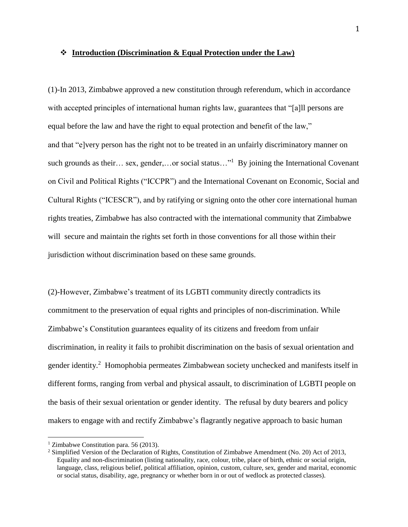# **Introduction (Discrimination & Equal Protection under the Law)**

(1)-In 2013, Zimbabwe approved a new constitution through referendum, which in accordance with accepted principles of international human rights law, guarantees that "[a]ll persons are equal before the law and have the right to equal protection and benefit of the law," and that "e]very person has the right not to be treated in an unfairly discriminatory manner on such grounds as their... sex, gender,...or social status..."<sup>1</sup> By joining the International Covenant on Civil and Political Rights ("ICCPR") and the International Covenant on Economic, Social and Cultural Rights ("ICESCR"), and by ratifying or signing onto the other core international human rights treaties, Zimbabwe has also contracted with the international community that Zimbabwe will secure and maintain the rights set forth in those conventions for all those within their jurisdiction without discrimination based on these same grounds.

(2)-However, Zimbabwe's treatment of its LGBTI community directly contradicts its commitment to the preservation of equal rights and principles of non-discrimination. While Zimbabwe's Constitution guarantees equality of its citizens and freedom from unfair discrimination, in reality it fails to prohibit discrimination on the basis of sexual orientation and gender identity.<sup>2</sup> Homophobia permeates Zimbabwean society unchecked and manifests itself in different forms, ranging from verbal and physical assault, to discrimination of LGBTI people on the basis of their sexual orientation or gender identity. The refusal by duty bearers and policy makers to engage with and rectify Zimbabwe's flagrantly negative approach to basic human

<sup>&</sup>lt;sup>1</sup> Zimbabwe Constitution para. 56 (2013).

<sup>&</sup>lt;sup>2</sup> Simplified Version of the Declaration of Rights, Constitution of Zimbabwe Amendment (No. 20) Act of 2013, Equality and non-discrimination (listing nationality, race, colour, tribe, place of birth, ethnic or social origin, language, class, religious belief, political affiliation, opinion, custom, culture, sex, gender and marital, economic or social status, disability, age, pregnancy or whether born in or out of wedlock as protected classes).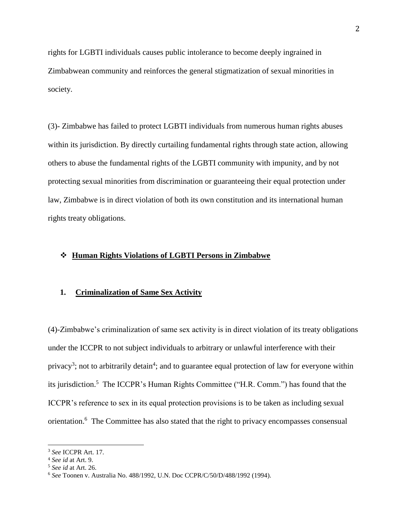rights for LGBTI individuals causes public intolerance to become deeply ingrained in Zimbabwean community and reinforces the general stigmatization of sexual minorities in society.

(3)- Zimbabwe has failed to protect LGBTI individuals from numerous human rights abuses within its jurisdiction. By directly curtailing fundamental rights through state action, allowing others to abuse the fundamental rights of the LGBTI community with impunity, and by not protecting sexual minorities from discrimination or guaranteeing their equal protection under law, Zimbabwe is in direct violation of both its own constitution and its international human rights treaty obligations.

### **Human Rights Violations of LGBTI Persons in Zimbabwe**

### **1. Criminalization of Same Sex Activity**

(4)-Zimbabwe's criminalization of same sex activity is in direct violation of its treaty obligations under the ICCPR to not subject individuals to arbitrary or unlawful interference with their privacy<sup>3</sup>; not to arbitrarily detain<sup>4</sup>; and to guarantee equal protection of law for everyone within its jurisdiction. 5 The ICCPR's Human Rights Committee ("H.R. Comm.") has found that the ICCPR's reference to sex in its equal protection provisions is to be taken as including sexual orientation.<sup>6</sup> The Committee has also stated that the right to privacy encompasses consensual

<sup>3</sup> *See* ICCPR Art. 17.

<sup>4</sup> *See id* at Art. 9.

<sup>5</sup> *See id* at Art. 26.

<sup>6</sup> *See* Toonen v. Australia No. 488/1992, U.N. Doc CCPR/C/50/D/488/1992 (1994).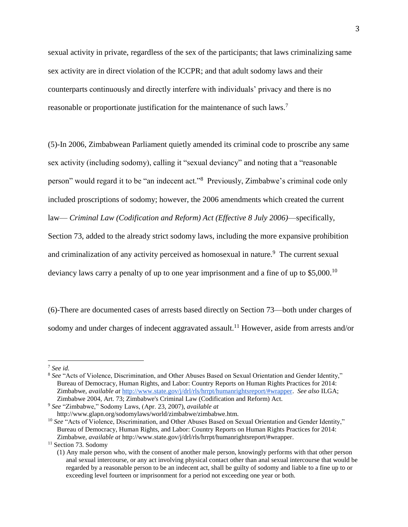sexual activity in private, regardless of the sex of the participants; that laws criminalizing same sex activity are in direct violation of the ICCPR; and that adult sodomy laws and their counterparts continuously and directly interfere with individuals' privacy and there is no reasonable or proportionate justification for the maintenance of such laws.<sup>7</sup>

(5)-In 2006, Zimbabwean Parliament quietly amended its criminal code to proscribe any same sex activity (including sodomy), calling it "sexual deviancy" and noting that a "reasonable person" would regard it to be "an indecent act."<sup>8</sup> Previously, Zimbabwe's criminal code only included proscriptions of sodomy; however, the 2006 amendments which created the current law— *Criminal Law (Codification and Reform) Act (Effective 8 July 2006)*—specifically, Section 73, added to the already strict sodomy laws, including the more expansive prohibition and criminalization of any activity perceived as homosexual in nature.<sup>9</sup> The current sexual deviancy laws carry a penalty of up to one year imprisonment and a fine of up to \$5,000.<sup>10</sup>

(6)-There are documented cases of arrests based directly on Section 73—both under charges of sodomy and under charges of indecent aggravated assault.<sup>11</sup> However, aside from arrests and/or

<sup>7</sup> *See id.*

<sup>&</sup>lt;sup>8</sup> See "Acts of Violence, Discrimination, and Other Abuses Based on Sexual Orientation and Gender Identity," Bureau of Democracy, Human Rights, and Labor: Country Reports on Human Rights Practices for 2014: Zimbabwe, *available at* http://www.state.gov/j/drl/rls/hrrpt/humanrightsreport/#wrapper. *See also* ILGA; Zimbabwe 2004, Art. 73; Zimbabwe's Criminal Law (Codification and Reform) Act.

<sup>9</sup> *See* "Zimbabwe," Sodomy Laws, (Apr. 23, 2007), *available at* http://www.glapn.org/sodomylaws/world/zimbabwe/zimbabwe.htm.

<sup>&</sup>lt;sup>10</sup> See "Acts of Violence, Discrimination, and Other Abuses Based on Sexual Orientation and Gender Identity," Bureau of Democracy, Human Rights, and Labor: Country Reports on Human Rights Practices for 2014: Zimbabwe, *available at* http://www.state.gov/j/drl/rls/hrrpt/humanrightsreport/#wrapper.

<sup>&</sup>lt;sup>11</sup> Section 73. Sodomy

<sup>(1)</sup> Any male person who, with the consent of another male person, knowingly performs with that other person anal sexual intercourse, or any act involving physical contact other than anal sexual intercourse that would be regarded by a reasonable person to be an indecent act, shall be guilty of sodomy and liable to a fine up to or exceeding level fourteen or imprisonment for a period not exceeding one year or both.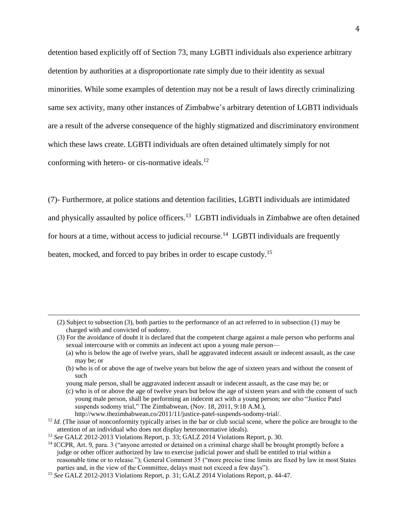detention based explicitly off of Section 73, many LGBTI individuals also experience arbitrary detention by authorities at a disproportionate rate simply due to their identity as sexual minorities. While some examples of detention may not be a result of laws directly criminalizing same sex activity, many other instances of Zimbabwe's arbitrary detention of LGBTI individuals are a result of the adverse consequence of the highly stigmatized and discriminatory environment which these laws create. LGBTI individuals are often detained ultimately simply for not conforming with hetero- or cis-normative ideals.<sup>12</sup>

(7)- Furthermore, at police stations and detention facilities, LGBTI individuals are intimidated and physically assaulted by police officers.<sup>13</sup> LGBTI individuals in Zimbabwe are often detained for hours at a time, without access to judicial recourse.<sup>14</sup> LGBTI individuals are frequently beaten, mocked, and forced to pay bribes in order to escape custody.<sup>15</sup>

young male person, shall be aggravated indecent assault or indecent assault, as the case may be; or

<sup>(2)</sup> Subject to subsection (3), both parties to the performance of an act referred to in subsection (1) may be charged with and convicted of sodomy.

<sup>(3)</sup> For the avoidance of doubt it is declared that the competent charge against a male person who performs anal sexual intercourse with or commits an indecent act upon a young male person—

<sup>(</sup>a) who is below the age of twelve years, shall be aggravated indecent assault or indecent assault, as the case may be; or

<sup>(</sup>b) who is of or above the age of twelve years but below the age of sixteen years and without the consent of such

<sup>(</sup>c) who is of or above the age of twelve years but below the age of sixteen years and with the consent of such young male person, shall be performing an indecent act with a young person; *see also* "Justice Patel suspends sodomy trial," The Zimbabwean, (Nov. 18, 2011, 9:18 A.M.), http://www.thezimbabwean.co/2011/11/justice-patel-suspends-sodomy-trial/.

 $12$  *Id.* (The issue of nonconformity typically arises in the bar or club social scene, where the police are brought to the attention of an individual who does not display heteronormative ideals).

<sup>13</sup> *See* GALZ 2012-2013 Violations Report, p. 33; GALZ 2014 Violations Report, p. 30.

<sup>&</sup>lt;sup>14</sup> ICCPR, Art. 9, para. 3 ("anyone arrested or detained on a criminal charge shall be brought promptly before a judge or other officer authorized by law to exercise judicial power and shall be entitled to trial within a reasonable time or to release."); General Comment 35 ("more precise time limits are fixed by law in most States parties and, in the view of the Committee, delays must not exceed a few days").

<sup>15</sup> *See* GALZ 2012-2013 Violations Report, p. 31; GALZ 2014 Violations Report, p. 44-47.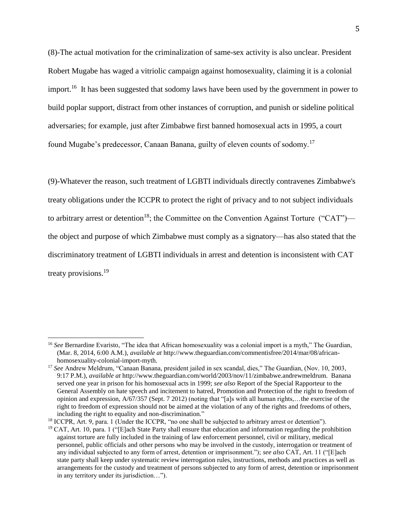(8)-The actual motivation for the criminalization of same-sex activity is also unclear. President Robert Mugabe has waged a vitriolic campaign against homosexuality, claiming it is a colonial import.<sup>16</sup> It has been suggested that sodomy laws have been used by the government in power to build poplar support, distract from other instances of corruption, and punish or sideline political adversaries; for example, just after Zimbabwe first banned homosexual acts in 1995, a court found Mugabe's predecessor, Canaan Banana, guilty of eleven counts of sodomy.<sup>17</sup>

(9)-Whatever the reason, such treatment of LGBTI individuals directly contravenes Zimbabwe's treaty obligations under the ICCPR to protect the right of privacy and to not subject individuals to arbitrary arrest or detention<sup>18</sup>; the Committee on the Convention Against Torture ("CAT") the object and purpose of which Zimbabwe must comply as a signatory—has also stated that the discriminatory treatment of LGBTI individuals in arrest and detention is inconsistent with CAT treaty provisions.<sup>19</sup>

<sup>&</sup>lt;sup>16</sup> See Bernardine Evaristo, "The idea that African homosexuality was a colonial import is a myth," The Guardian, (Mar. 8, 2014, 6:00 A.M.), *available at* http://www.theguardian.com/commentisfree/2014/mar/08/africanhomosexuality-colonial-import-myth.

<sup>17</sup> *See* Andrew Meldrum, "Canaan Banana, president jailed in sex scandal, dies," The Guardian, (Nov. 10, 2003, 9:17 P.M.), *available at* http://www.theguardian.com/world/2003/nov/11/zimbabwe.andrewmeldrum. Banana served one year in prison for his homosexual acts in 1999; *see also* Report of the Special Rapporteur to the General Assembly on hate speech and incitement to hatred, Promotion and Protection of the right to freedom of opinion and expression, A/67/357 (Sept. 7 2012) (noting that "[a]s with all human rights,…the exercise of the right to freedom of expression should not be aimed at the violation of any of the rights and freedoms of others, including the right to equality and non-discrimination."

<sup>&</sup>lt;sup>18</sup> ICCPR, Art. 9, para. 1 (Under the ICCPR, "no one shall be subjected to arbitrary arrest or detention").

<sup>&</sup>lt;sup>19</sup> CAT, Art. 10, para. 1 ("[E]ach State Party shall ensure that education and information regarding the prohibition against torture are fully included in the training of law enforcement personnel, civil or military, medical personnel, public officials and other persons who may be involved in the custody, interrogation or treatment of any individual subjected to any form of arrest, detention or imprisonment."); *see also* CAT, Art. 11 ("[E]ach state party shall keep under systematic review interrogation rules, instructions, methods and practices as well as arrangements for the custody and treatment of persons subjected to any form of arrest, detention or imprisonment in any territory under its jurisdiction…").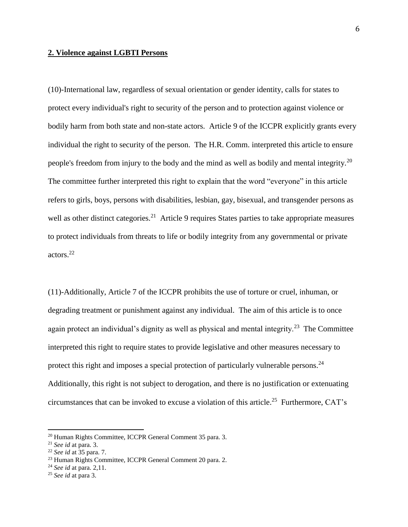### **2. Violence against LGBTI Persons**

(10)-International law, regardless of sexual orientation or gender identity, calls for states to protect every individual's right to security of the person and to protection against violence or bodily harm from both state and non-state actors. Article 9 of the ICCPR explicitly grants every individual the right to security of the person. The H.R. Comm. interpreted this article to ensure people's freedom from injury to the body and the mind as well as bodily and mental integrity.<sup>20</sup> The committee further interpreted this right to explain that the word "everyone" in this article refers to girls, boys, persons with disabilities, lesbian, gay, bisexual, and transgender persons as well as other distinct categories.<sup>21</sup> Article 9 requires States parties to take appropriate measures to protect individuals from threats to life or bodily integrity from any governmental or private actors.<sup>22</sup>

(11)-Additionally, Article 7 of the ICCPR prohibits the use of torture or cruel, inhuman, or degrading treatment or punishment against any individual. The aim of this article is to once again protect an individual's dignity as well as physical and mental integrity.<sup>23</sup> The Committee interpreted this right to require states to provide legislative and other measures necessary to protect this right and imposes a special protection of particularly vulnerable persons. $^{24}$ Additionally, this right is not subject to derogation, and there is no justification or extenuating circumstances that can be invoked to excuse a violation of this article.<sup>25</sup> Furthermore, CAT's

<sup>&</sup>lt;sup>20</sup> Human Rights Committee, ICCPR General Comment 35 para. 3.

<sup>21</sup> *See id* at para. 3.

<sup>22</sup> *See id* at 35 para. 7.

<sup>23</sup> Human Rights Committee, ICCPR General Comment 20 para. 2.

<sup>24</sup> *See id* at para. 2,11.

<sup>25</sup> *See id* at para 3.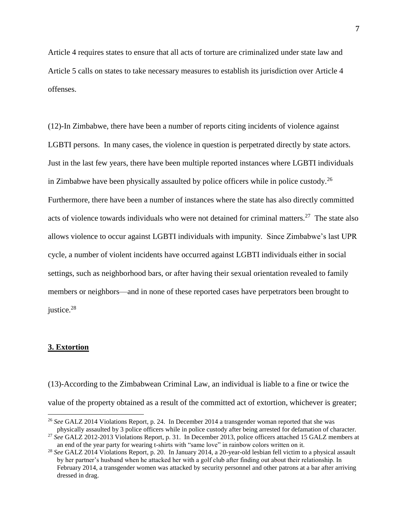Article 4 requires states to ensure that all acts of torture are criminalized under state law and Article 5 calls on states to take necessary measures to establish its jurisdiction over Article 4 offenses.

(12)-In Zimbabwe, there have been a number of reports citing incidents of violence against LGBTI persons. In many cases, the violence in question is perpetrated directly by state actors. Just in the last few years, there have been multiple reported instances where LGBTI individuals in Zimbabwe have been physically assaulted by police officers while in police custody.<sup>26</sup> Furthermore, there have been a number of instances where the state has also directly committed acts of violence towards individuals who were not detained for criminal matters.<sup>27</sup> The state also allows violence to occur against LGBTI individuals with impunity. Since Zimbabwe's last UPR cycle, a number of violent incidents have occurred against LGBTI individuals either in social settings, such as neighborhood bars, or after having their sexual orientation revealed to family members or neighbors—and in none of these reported cases have perpetrators been brought to justice. 28

#### **3. Extortion**

l

(13)-According to the Zimbabwean Criminal Law, an individual is liable to a fine or twice the value of the property obtained as a result of the committed act of extortion, whichever is greater;

<sup>26</sup> *See* GALZ 2014 Violations Report, p. 24. In December 2014 a transgender woman reported that she was physically assaulted by 3 police officers while in police custody after being arrested for defamation of character.

<sup>27</sup> *See* GALZ 2012-2013 Violations Report, p. 31. In December 2013, police officers attached 15 GALZ members at an end of the year party for wearing t-shirts with "same love" in rainbow colors written on it.

<sup>28</sup> *See* GALZ 2014 Violations Report, p. 20. In January 2014, a 20-year-old lesbian fell victim to a physical assault by her partner's husband when he attacked her with a golf club after finding out about their relationship. In February 2014, a transgender women was attacked by security personnel and other patrons at a bar after arriving dressed in drag.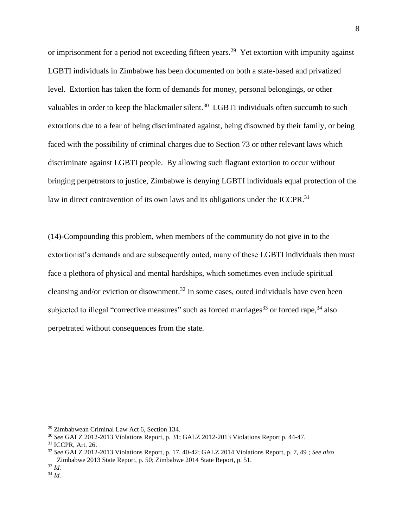or imprisonment for a period not exceeding fifteen years.<sup>29</sup> Yet extortion with impunity against LGBTI individuals in Zimbabwe has been documented on both a state-based and privatized level. Extortion has taken the form of demands for money, personal belongings, or other valuables in order to keep the blackmailer silent.<sup>30</sup> LGBTI individuals often succumb to such extortions due to a fear of being discriminated against, being disowned by their family, or being faced with the possibility of criminal charges due to Section 73 or other relevant laws which discriminate against LGBTI people. By allowing such flagrant extortion to occur without bringing perpetrators to justice, Zimbabwe is denying LGBTI individuals equal protection of the law in direct contravention of its own laws and its obligations under the ICCPR.<sup>31</sup>

(14)-Compounding this problem, when members of the community do not give in to the extortionist's demands and are subsequently outed, many of these LGBTI individuals then must face a plethora of physical and mental hardships, which sometimes even include spiritual cleansing and/or eviction or disownment.<sup>32</sup> In some cases, outed individuals have even been subjected to illegal "corrective measures" such as forced marriages<sup>33</sup> or forced rape,  $34$  also perpetrated without consequences from the state.

 $\overline{a}$ 

8

<sup>29</sup> Zimbabwean Criminal Law Act 6, Section 134.

<sup>30</sup> *See* GALZ 2012-2013 Violations Report, p. 31; GALZ 2012-2013 Violations Report p. 44-47.

<sup>31</sup> ICCPR, Art. 26.

<sup>32</sup> *See* GALZ 2012-2013 Violations Report, p. 17, 40-42; GALZ 2014 Violations Report, p. 7, 49 ; *See also*  Zimbabwe 2013 State Report, p. 50; Zimbabwe 2014 State Report, p. 51.

<sup>33</sup> *Id.* <sup>34</sup> *Id.*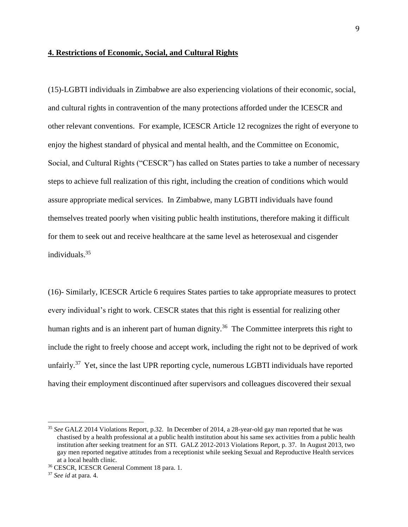### **4. Restrictions of Economic, Social, and Cultural Rights**

(15)-LGBTI individuals in Zimbabwe are also experiencing violations of their economic, social, and cultural rights in contravention of the many protections afforded under the ICESCR and other relevant conventions. For example, ICESCR Article 12 recognizes the right of everyone to enjoy the highest standard of physical and mental health, and the Committee on Economic, Social, and Cultural Rights ("CESCR") has called on States parties to take a number of necessary steps to achieve full realization of this right, including the creation of conditions which would assure appropriate medical services. In Zimbabwe, many LGBTI individuals have found themselves treated poorly when visiting public health institutions, therefore making it difficult for them to seek out and receive healthcare at the same level as heterosexual and cisgender individuals.<sup>35</sup>

(16)- Similarly, ICESCR Article 6 requires States parties to take appropriate measures to protect every individual's right to work. CESCR states that this right is essential for realizing other human rights and is an inherent part of human dignity.<sup>36</sup> The Committee interprets this right to include the right to freely choose and accept work, including the right not to be deprived of work unfairly.<sup>37</sup> Yet, since the last UPR reporting cycle, numerous LGBTI individuals have reported having their employment discontinued after supervisors and colleagues discovered their sexual

<sup>35</sup> *See* GALZ 2014 Violations Report, p.32. In December of 2014, a 28-year-old gay man reported that he was chastised by a health professional at a public health institution about his same sex activities from a public health institution after seeking treatment for an STI. GALZ 2012-2013 Violations Report, p. 37. In August 2013, two gay men reported negative attitudes from a receptionist while seeking Sexual and Reproductive Health services at a local health clinic.

<sup>36</sup> CESCR, ICESCR General Comment 18 para. 1.

<sup>37</sup> *See id* at para. 4.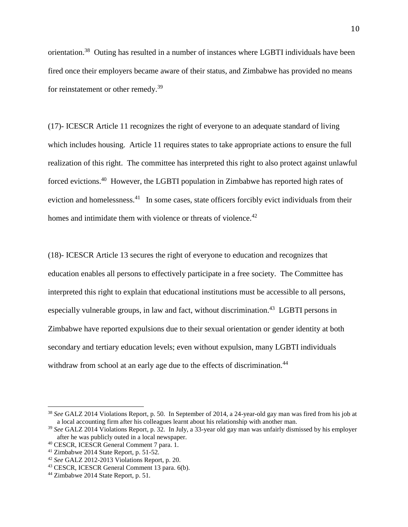orientation.<sup>38</sup> Outing has resulted in a number of instances where LGBTI individuals have been fired once their employers became aware of their status, and Zimbabwe has provided no means for reinstatement or other remedy.<sup>39</sup>

(17)- ICESCR Article 11 recognizes the right of everyone to an adequate standard of living which includes housing. Article 11 requires states to take appropriate actions to ensure the full realization of this right. The committee has interpreted this right to also protect against unlawful forced evictions.<sup>40</sup> However, the LGBTI population in Zimbabwe has reported high rates of eviction and homelessness.<sup>41</sup> In some cases, state officers forcibly evict individuals from their homes and intimidate them with violence or threats of violence.<sup>42</sup>

(18)- ICESCR Article 13 secures the right of everyone to education and recognizes that education enables all persons to effectively participate in a free society. The Committee has interpreted this right to explain that educational institutions must be accessible to all persons, especially vulnerable groups, in law and fact, without discrimination.<sup>43</sup> LGBTI persons in Zimbabwe have reported expulsions due to their sexual orientation or gender identity at both secondary and tertiary education levels; even without expulsion, many LGBTI individuals withdraw from school at an early age due to the effects of discrimination.<sup>44</sup>

<sup>38</sup> *See* GALZ 2014 Violations Report, p. 50. In September of 2014, a 24-year-old gay man was fired from his job at a local accounting firm after his colleagues learnt about his relationship with another man.

<sup>39</sup> *See* GALZ 2014 Violations Report, p. 32. In July, a 33-year old gay man was unfairly dismissed by his employer after he was publicly outed in a local newspaper.

<sup>40</sup> CESCR, ICESCR General Comment 7 para. 1.

<sup>41</sup> Zimbabwe 2014 State Report, p. 51-52.

<sup>42</sup> *See* GALZ 2012-2013 Violations Report, p. 20.

<sup>43</sup> CESCR, ICESCR General Comment 13 para. 6(b).

<sup>44</sup> Zimbabwe 2014 State Report, p. 51.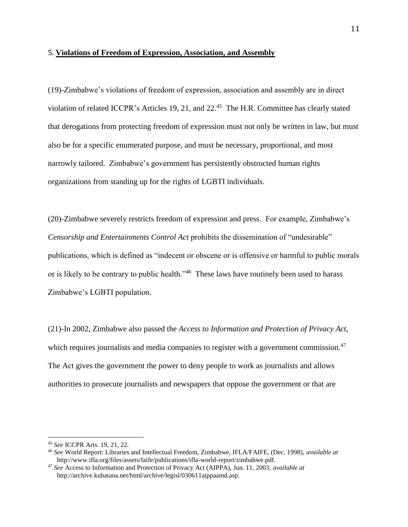## 5. **Violations of Freedom of Expression, Association, and Assembly**

(19)-Zimbabwe's violations of freedom of expression, association and assembly are in direct violation of related ICCPR's Articles 19, 21, and 22.<sup>45</sup> The H.R. Committee has clearly stated that derogations from protecting freedom of expression must not only be written in law, but must also be for a specific enumerated purpose, and must be necessary, proportional, and most narrowly tailored. Zimbabwe's government has persistently obstructed human rights organizations from standing up for the rights of LGBTI individuals.

(20)-Zimbabwe severely restricts freedom of expression and press. For example, Zimbabwe's *Censorship and Entertainments Control Act* prohibits the dissemination of "undesirable" publications, which is defined as "indecent or obscene or is offensive or harmful to public morals or is likely to be contrary to public health."<sup>46</sup> These laws have routinely been used to harass Zimbabwe's LGBTI population.

(21)-In 2002, Zimbabwe also passed the *Access to Information and Protection of Privacy Act*, which requires journalists and media companies to register with a government commission.<sup>47</sup> The Act gives the government the power to deny people to work as journalists and allows authorities to prosecute journalists and newspapers that oppose the government or that are

<sup>45</sup> *See* ICCPR Arts. 19, 21, 22.

<sup>46</sup> *See* World Report: Libraries and Intellectual Freedom, Zimbabwe, IFLA/FAIFE, (Dec. 1998), *available at*  http://www.ifla.org/files/assets/faife/publications/ifla-world-report/zimbabwe.pdf.

<sup>47</sup> *See* Access to Information and Protection of Privacy Act (AIPPA), Jun. 11, 2003, *available at*  http://archive.kubatana.net/html/archive/legisl/030611aippaamd.asp.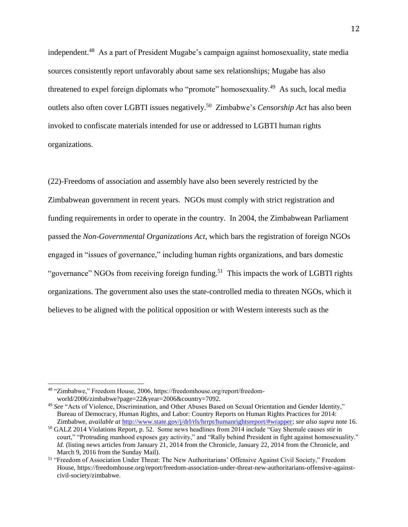independent.<sup>48</sup> As a part of President Mugabe's campaign against homosexuality, state media sources consistently report unfavorably about same sex relationships; Mugabe has also threatened to expel foreign diplomats who "promote" homosexuality.<sup>49</sup> As such, local media outlets also often cover LGBTI issues negatively.<sup>50</sup> Zimbabwe's *Censorship Act* has also been invoked to confiscate materials intended for use or addressed to LGBTI human rights organizations.

(22)-Freedoms of association and assembly have also been severely restricted by the Zimbabwean government in recent years. NGOs must comply with strict registration and funding requirements in order to operate in the country. In 2004, the Zimbabwean Parliament passed the *Non-Governmental Organizations Act*, which bars the registration of foreign NGOs engaged in "issues of governance," including human rights organizations, and bars domestic "governance" NGOs from receiving foreign funding.<sup>51</sup> This impacts the work of LGBTI rights organizations. The government also uses the state-controlled media to threaten NGOs, which it believes to be aligned with the political opposition or with Western interests such as the

<sup>48</sup> "Zimbabwe," Freedom House, 2006, https://freedomhouse.org/report/freedomworld/2006/zimbabwe?page=22&year=2006&country=7092.

<sup>49</sup> *See* "Acts of Violence, Discrimination, and Other Abuses Based on Sexual Orientation and Gender Identity," Bureau of Democracy, Human Rights, and Labor: Country Reports on Human Rights Practices for 2014: Zimbabwe, *available at* [http://www.state.gov/j/drl/rls/hrrpt/humanrightsreport/#wrapper;](http://www.state.gov/j/drl/rls/hrrpt/humanrightsreport/#wrapper) *see also supra* note 16.

 $50$  GALZ 2014 Violations Report, p. 52. Some news headlines from 2014 include "Gay Shemale causes stir in court," "Protruding manhood exposes gay activity," and "Rally behind President in fight against homosexuality." *Id.* (listing news articles from January 21, 2014 from the Chronicle, January 22, 2014 from the Chronicle, and March 9, 2016 from the Sunday Mail).

<sup>51</sup> "Freedom of Association Under Threat: The New Authoritarians' Offensive Against Civil Society," Freedom House, https://freedomhouse.org/report/freedom-association-under-threat-new-authoritarians-offensive-againstcivil-society/zimbabwe.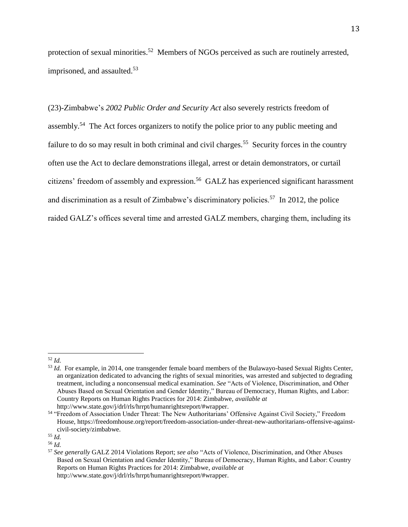protection of sexual minorities.<sup>52</sup> Members of NGOs perceived as such are routinely arrested, imprisoned, and assaulted.<sup>53</sup>

(23)-Zimbabwe's *2002 Public Order and Security Act* also severely restricts freedom of assembly.<sup>54</sup> The Act forces organizers to notify the police prior to any public meeting and failure to do so may result in both criminal and civil charges.<sup>55</sup> Security forces in the country often use the Act to declare demonstrations illegal, arrest or detain demonstrators, or curtail citizens' freedom of assembly and expression.<sup>56</sup> GALZ has experienced significant harassment and discrimination as a result of Zimbabwe's discriminatory policies.<sup>57</sup> In 2012, the police raided GALZ's offices several time and arrested GALZ members, charging them, including its

 $\overline{a}$ <sup>52</sup> *Id.*

http://www.state.gov/j/drl/rls/hrrpt/humanrightsreport/#wrapper.

<sup>53</sup> *Id.* For example, in 2014, one transgender female board members of the Bulawayo-based Sexual Rights Center, an organization dedicated to advancing the rights of sexual minorities, was arrested and subjected to degrading treatment, including a nonconsensual medical examination. *See* "Acts of Violence, Discrimination, and Other Abuses Based on Sexual Orientation and Gender Identity," Bureau of Democracy, Human Rights, and Labor: Country Reports on Human Rights Practices for 2014: Zimbabwe, *available at*

<sup>&</sup>lt;sup>54</sup> "Freedom of Association Under Threat: The New Authoritarians' Offensive Against Civil Society," Freedom House, https://freedomhouse.org/report/freedom-association-under-threat-new-authoritarians-offensive-againstcivil-society/zimbabwe.

<sup>55</sup> *Id.*

<sup>56</sup> *Id.*

<sup>57</sup> *See generally* GALZ 2014 Violations Report; *see also* "Acts of Violence, Discrimination, and Other Abuses Based on Sexual Orientation and Gender Identity," Bureau of Democracy, Human Rights, and Labor: Country Reports on Human Rights Practices for 2014: Zimbabwe, *available at* http://www.state.gov/j/drl/rls/hrrpt/humanrightsreport/#wrapper.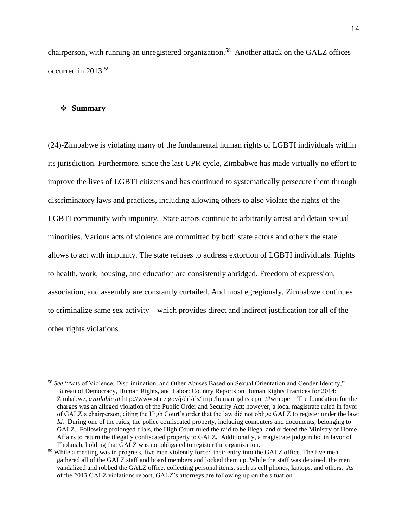chairperson, with running an unregistered organization.<sup>58</sup> Another attack on the GALZ offices occurred in 2013.<sup>59</sup>

### **Summary**

 $\overline{a}$ 

(24)-Zimbabwe is violating many of the fundamental human rights of LGBTI individuals within its jurisdiction. Furthermore, since the last UPR cycle, Zimbabwe has made virtually no effort to improve the lives of LGBTI citizens and has continued to systematically persecute them through discriminatory laws and practices, including allowing others to also violate the rights of the LGBTI community with impunity. State actors continue to arbitrarily arrest and detain sexual minorities. Various acts of violence are committed by both state actors and others the state allows to act with impunity. The state refuses to address extortion of LGBTI individuals. Rights to health, work, housing, and education are consistently abridged. Freedom of expression, association, and assembly are constantly curtailed. And most egregiously, Zimbabwe continues to criminalize same sex activity—which provides direct and indirect justification for all of the other rights violations.

<sup>58</sup> *See* "Acts of Violence, Discrimination, and Other Abuses Based on Sexual Orientation and Gender Identity," Bureau of Democracy, Human Rights, and Labor: Country Reports on Human Rights Practices for 2014: Zimbabwe, *available at* http://www.state.gov/j/drl/rls/hrrpt/humanrightsreport/#wrapper. The foundation for the charges was an alleged violation of the Public Order and Security Act; however, a local magistrate ruled in favor of GALZ's chairperson, citing the High Court's order that the law did not oblige GALZ to register under the law; *Id.* During one of the raids, the police confiscated property, including computers and documents, belonging to GALZ. Following prolonged trials, the High Court ruled the raid to be illegal and ordered the Ministry of Home Affairs to return the illegally confiscated property to GALZ. Additionally, a magistrate judge ruled in favor of Tholanah, holding that GALZ was not obligated to register the organization.

<sup>&</sup>lt;sup>59</sup> While a meeting was in progress, five men violently forced their entry into the GALZ office. The five men gathered all of the GALZ staff and board members and locked them up. While the staff was detained, the men vandalized and robbed the GALZ office, collecting personal items, such as cell phones, laptops, and others. As of the 2013 GALZ violations report, GALZ's attorneys are following up on the situation.